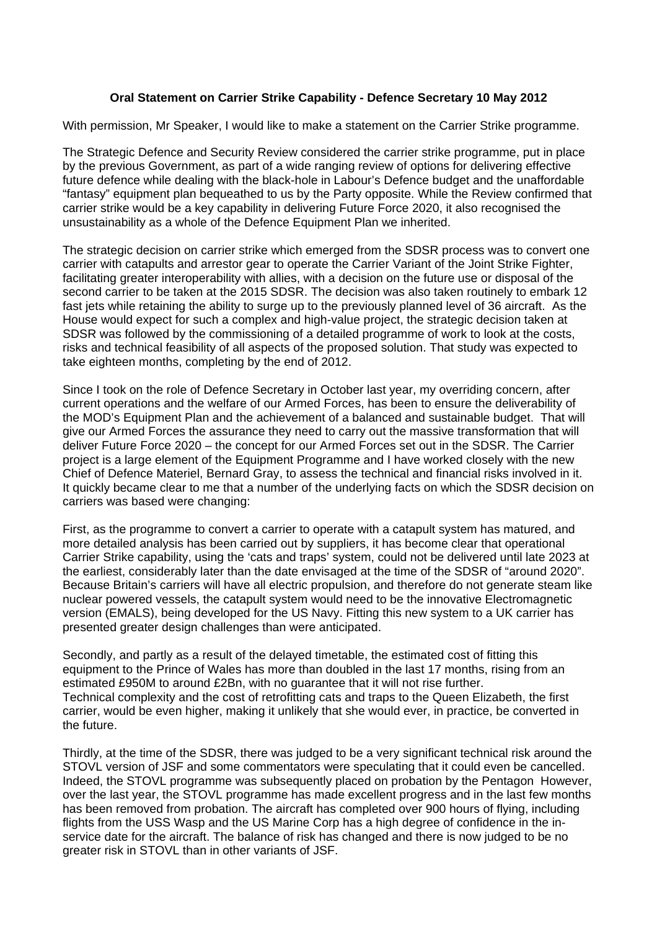## **Oral Statement on Carrier Strike Capability - Defence Secretary 10 May 2012**

With permission, Mr Speaker, I would like to make a statement on the Carrier Strike programme.

The Strategic Defence and Security Review considered the carrier strike programme, put in place by the previous Government, as part of a wide ranging review of options for delivering effective future defence while dealing with the black-hole in Labour's Defence budget and the unaffordable "fantasy" equipment plan bequeathed to us by the Party opposite. While the Review confirmed that carrier strike would be a key capability in delivering Future Force 2020, it also recognised the unsustainability as a whole of the Defence Equipment Plan we inherited.

The strategic decision on carrier strike which emerged from the SDSR process was to convert one carrier with catapults and arrestor gear to operate the Carrier Variant of the Joint Strike Fighter, facilitating greater interoperability with allies, with a decision on the future use or disposal of the second carrier to be taken at the 2015 SDSR. The decision was also taken routinely to embark 12 fast jets while retaining the ability to surge up to the previously planned level of 36 aircraft. As the House would expect for such a complex and high-value project, the strategic decision taken at SDSR was followed by the commissioning of a detailed programme of work to look at the costs, risks and technical feasibility of all aspects of the proposed solution. That study was expected to take eighteen months, completing by the end of 2012.

Since I took on the role of Defence Secretary in October last year, my overriding concern, after current operations and the welfare of our Armed Forces, has been to ensure the deliverability of the MOD's Equipment Plan and the achievement of a balanced and sustainable budget. That will give our Armed Forces the assurance they need to carry out the massive transformation that will deliver Future Force 2020 – the concept for our Armed Forces set out in the SDSR. The Carrier project is a large element of the Equipment Programme and I have worked closely with the new Chief of Defence Materiel, Bernard Gray, to assess the technical and financial risks involved in it. It quickly became clear to me that a number of the underlying facts on which the SDSR decision on carriers was based were changing:

First, as the programme to convert a carrier to operate with a catapult system has matured, and more detailed analysis has been carried out by suppliers, it has become clear that operational Carrier Strike capability, using the 'cats and traps' system, could not be delivered until late 2023 at the earliest, considerably later than the date envisaged at the time of the SDSR of "around 2020". Because Britain's carriers will have all electric propulsion, and therefore do not generate steam like nuclear powered vessels, the catapult system would need to be the innovative Electromagnetic version (EMALS), being developed for the US Navy. Fitting this new system to a UK carrier has presented greater design challenges than were anticipated.

Secondly, and partly as a result of the delayed timetable, the estimated cost of fitting this equipment to the Prince of Wales has more than doubled in the last 17 months, rising from an estimated £950M to around £2Bn, with no guarantee that it will not rise further. Technical complexity and the cost of retrofitting cats and traps to the Queen Elizabeth, the first carrier, would be even higher, making it unlikely that she would ever, in practice, be converted in the future.

Thirdly, at the time of the SDSR, there was judged to be a very significant technical risk around the STOVL version of JSF and some commentators were speculating that it could even be cancelled. Indeed, the STOVL programme was subsequently placed on probation by the Pentagon However, over the last year, the STOVL programme has made excellent progress and in the last few months has been removed from probation. The aircraft has completed over 900 hours of flying, including flights from the USS Wasp and the US Marine Corp has a high degree of confidence in the inservice date for the aircraft. The balance of risk has changed and there is now judged to be no greater risk in STOVL than in other variants of JSF.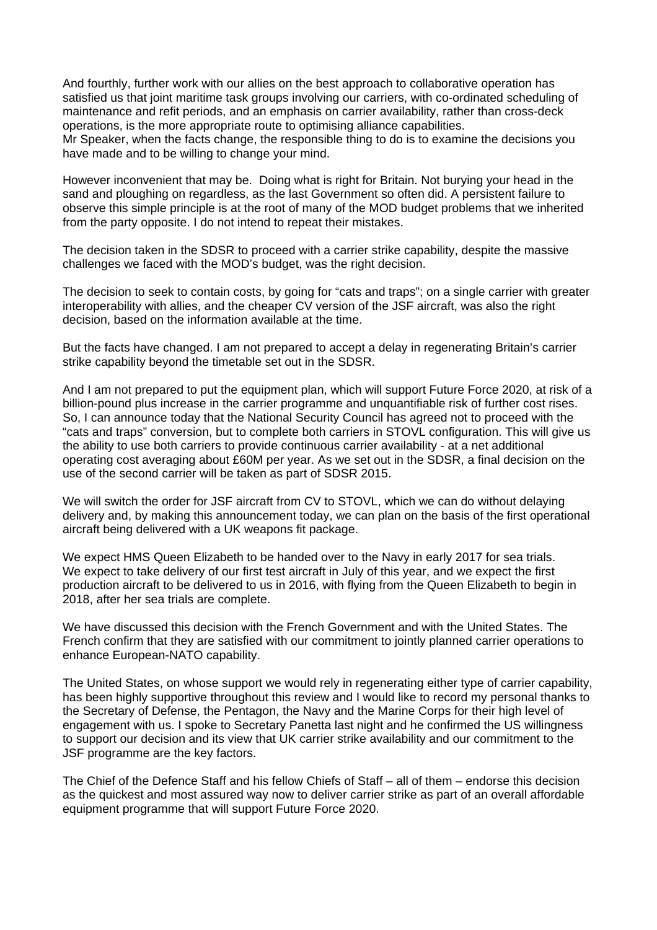And fourthly, further work with our allies on the best approach to collaborative operation has satisfied us that joint maritime task groups involving our carriers, with co-ordinated scheduling of maintenance and refit periods, and an emphasis on carrier availability, rather than cross-deck operations, is the more appropriate route to optimising alliance capabilities.

Mr Speaker, when the facts change, the responsible thing to do is to examine the decisions you have made and to be willing to change your mind.

However inconvenient that may be. Doing what is right for Britain. Not burying your head in the sand and ploughing on regardless, as the last Government so often did. A persistent failure to observe this simple principle is at the root of many of the MOD budget problems that we inherited from the party opposite. I do not intend to repeat their mistakes.

The decision taken in the SDSR to proceed with a carrier strike capability, despite the massive challenges we faced with the MOD's budget, was the right decision.

The decision to seek to contain costs, by going for "cats and traps"; on a single carrier with greater interoperability with allies, and the cheaper CV version of the JSF aircraft, was also the right decision, based on the information available at the time.

But the facts have changed. I am not prepared to accept a delay in regenerating Britain's carrier strike capability beyond the timetable set out in the SDSR.

And I am not prepared to put the equipment plan, which will support Future Force 2020, at risk of a billion-pound plus increase in the carrier programme and unquantifiable risk of further cost rises. So, I can announce today that the National Security Council has agreed not to proceed with the "cats and traps" conversion, but to complete both carriers in STOVL configuration. This will give us the ability to use both carriers to provide continuous carrier availability - at a net additional operating cost averaging about £60M per year. As we set out in the SDSR, a final decision on the use of the second carrier will be taken as part of SDSR 2015.

We will switch the order for JSF aircraft from CV to STOVL, which we can do without delaying delivery and, by making this announcement today, we can plan on the basis of the first operational aircraft being delivered with a UK weapons fit package.

We expect HMS Queen Elizabeth to be handed over to the Navy in early 2017 for sea trials. We expect to take delivery of our first test aircraft in July of this year, and we expect the first production aircraft to be delivered to us in 2016, with flying from the Queen Elizabeth to begin in 2018, after her sea trials are complete.

We have discussed this decision with the French Government and with the United States. The French confirm that they are satisfied with our commitment to jointly planned carrier operations to enhance European-NATO capability.

The United States, on whose support we would rely in regenerating either type of carrier capability, has been highly supportive throughout this review and I would like to record my personal thanks to the Secretary of Defense, the Pentagon, the Navy and the Marine Corps for their high level of engagement with us. I spoke to Secretary Panetta last night and he confirmed the US willingness to support our decision and its view that UK carrier strike availability and our commitment to the JSF programme are the key factors.

The Chief of the Defence Staff and his fellow Chiefs of Staff – all of them – endorse this decision as the quickest and most assured way now to deliver carrier strike as part of an overall affordable equipment programme that will support Future Force 2020.